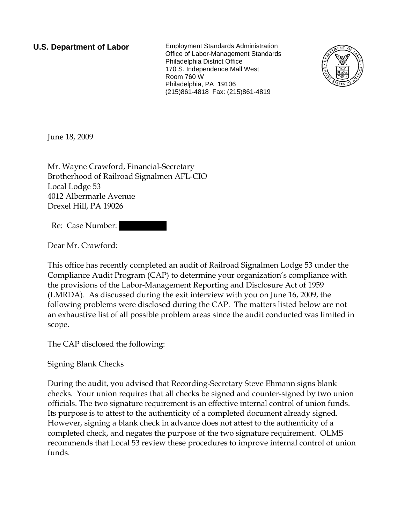**U.S. Department of Labor** Employment Standards Administration Office of Labor-Management Standards Philadelphia District Office 170 S. Independence Mall West Room 760 W Philadelphia, PA 19106 (215)861-4818 Fax: (215)861-4819



June 18, 2009

Mr. Wayne Crawford, Financial-Secretary Brotherhood of Railroad Signalmen AFL-CIO Local Lodge 53 4012 Albermarle Avenue Drexel Hill, PA 19026

Re: Case Number:

Dear Mr. Crawford:

This office has recently completed an audit of Railroad Signalmen Lodge 53 under the Compliance Audit Program (CAP) to determine your organization's compliance with the provisions of the Labor-Management Reporting and Disclosure Act of 1959 (LMRDA). As discussed during the exit interview with you on June 16, 2009, the following problems were disclosed during the CAP. The matters listed below are not an exhaustive list of all possible problem areas since the audit conducted was limited in scope.

The CAP disclosed the following:

Signing Blank Checks

During the audit, you advised that Recording-Secretary Steve Ehmann signs blank checks. Your union requires that all checks be signed and counter-signed by two union officials. The two signature requirement is an effective internal control of union funds. Its purpose is to attest to the authenticity of a completed document already signed. However, signing a blank check in advance does not attest to the authenticity of a completed check, and negates the purpose of the two signature requirement. OLMS recommends that Local 53 review these procedures to improve internal control of union funds.